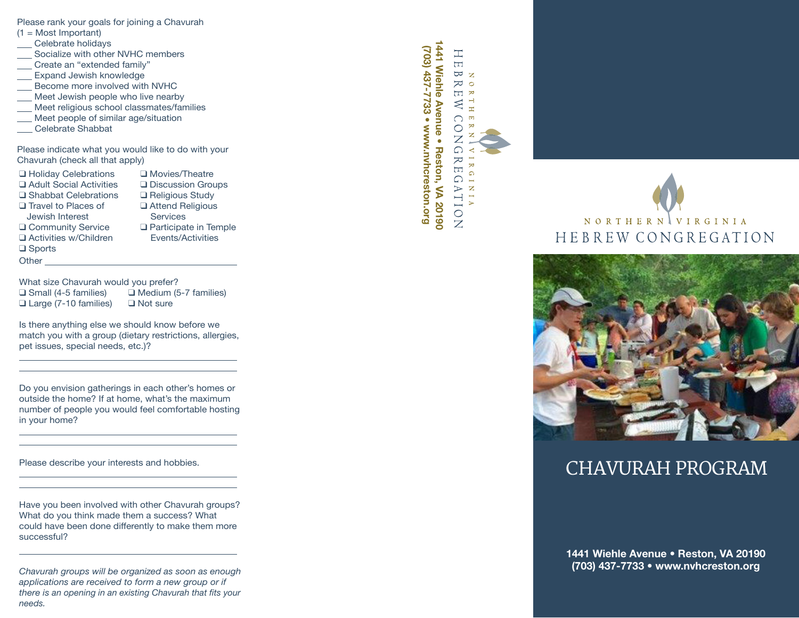Please rank your goals for joining a Chavurah

- $(1 = Most Important)$
- Celebrate holidays
- Socialize with other NVHC members
- Create an "extended family"
- Expand Jewish knowledge
- Become more involved with NVHC
- Meet Jewish people who live nearby
- Meet religious school classmates/families
- Meet people of similar age/situation
- Celebrate Shabbat

Please indicate what you would like to do with your Chavurah (check all that apply)

- ❑ Holiday Celebrations ❑ Adult Social Activities ❑ Shabbat Celebrations ❑ Travel to Places of Jewish Interest ❑ Community Service ❑ Activities w/Children ❑ Sports **Other**
- ❑ Movies/Theatre ❑ Discussion Groups ❑ Religious Study ❑ Attend Religious **Services** ❑ Participate in Temple Events/Activities

 $\overline{a}$ 

 $\overline{a}$ 

 $\overline{a}$ 

 $\overline{a}$ 

What size Chavurah would you prefer? ❑ Small (4-5 families) ❑ Medium (5-7 families) ❑ Large (7-10 families) ❑ Not sure

Is there anything else we should know before we match you with a group (dietary restrictions, allergies, pet issues, special needs, etc.)?

Do you envision gatherings in each other's homes or outside the home? If at home, what's the maximum number of people you would feel comfortable hosting in your home?

Please describe your interests and hobbies.

Have you been involved with other Chavurah groups? What do you think made them a success? What could have been done differently to make them more successful?

*Chavurah groups will be organized as soon as enough applications are received to form a new group or if there is an opening in an existing Chavurah that fits your needs.*

1441 Wiehle Avenue . Reston, VA 20190 **1441 Wiehle Avenue • Reston, VA 20190 (703) 437-7733 • www.nvhcreston.org** (703) 437-7733 • www.nvhcreston.org  $\pm$  $\Box$  $\overline{\omega}$  z  $\infty$  $\overline{\Box}$   $\overline{\mathcal{R}}$  $\approx$  $\bigcap$  $\circ$  $\overline{Z}$  $\Omega$  $\approx$  $\Box$  $\Omega$   $\Xi$  $\triangleright$  z TT.  $\frac{0}{Z}$ 

 $\mathbb H$  L

 $\overline{\mathbf{m}}$  $\overline{\mathbf{z}}$ 

 $\mathbb{R}$ 

 $\Omega$ 

 $\overline{\phantom{a}}$  $\triangleright$ 







# CHAVURAH PROGRAM

**1441 Wiehle Avenue • Reston, VA 20190 (703) 437-7733 • www.nvhcreston.org**